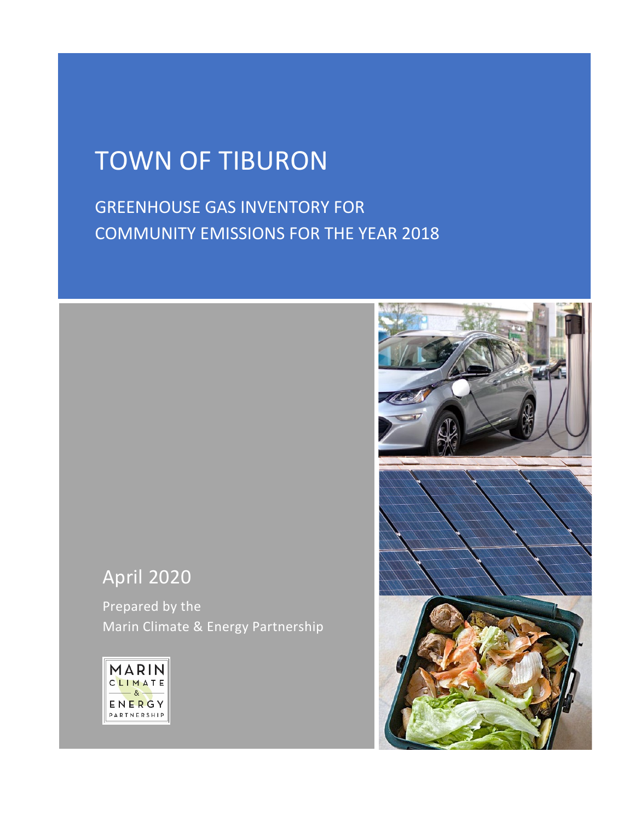# TOWN OF TIBURON

GREENHOUSE GAS INVENTORY FOR COMMUNITY EMISSIONS FOR THE YEAR 2018

# April 2020

Prepared by the Marin Climate & Energy Partnership



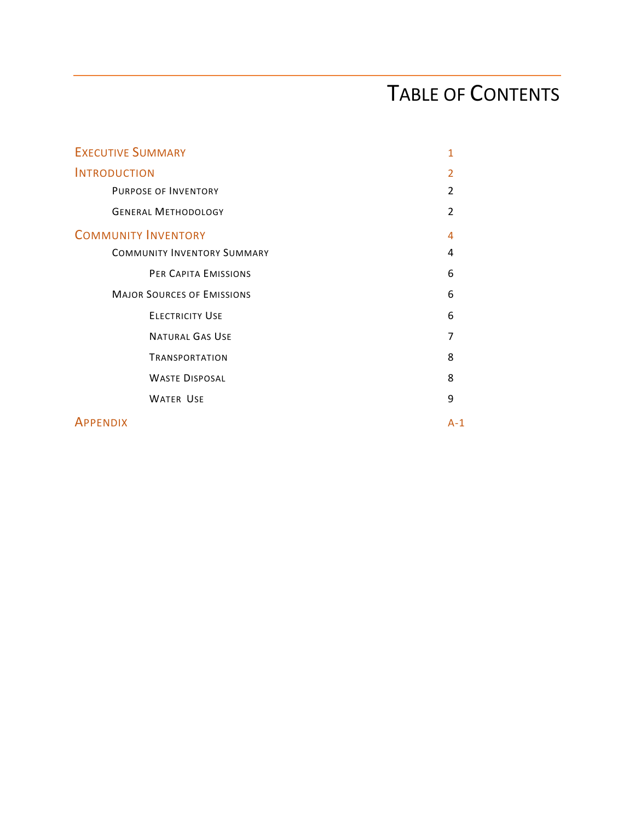# TABLE OF CONTENTS

| <b>EXECUTIVE SUMMARY</b>           |                          |  |  |
|------------------------------------|--------------------------|--|--|
| <b>INTRODUCTION</b>                | $\overline{\phantom{a}}$ |  |  |
| <b>PURPOSE OF INVENTORY</b>        | $\overline{2}$           |  |  |
| <b>GENERAL METHODOLOGY</b>         | $\mathcal{P}$            |  |  |
| <b>COMMUNITY INVENTORY</b>         | 4                        |  |  |
| <b>COMMUNITY INVENTORY SUMMARY</b> | 4                        |  |  |
| PER CAPITA EMISSIONS               | 6                        |  |  |
| <b>MAJOR SOURCES OF EMISSIONS</b>  | 6                        |  |  |
| <b>ELECTRICITY USE</b>             | 6                        |  |  |
| <b>NATURAL GAS USE</b>             | 7                        |  |  |
| <b>TRANSPORTATION</b>              | 8                        |  |  |
| <b>WASTE DISPOSAL</b>              | 8                        |  |  |
| <b>WATER USE</b>                   | 9                        |  |  |
| <b>APPENDIX</b>                    | $A-1$                    |  |  |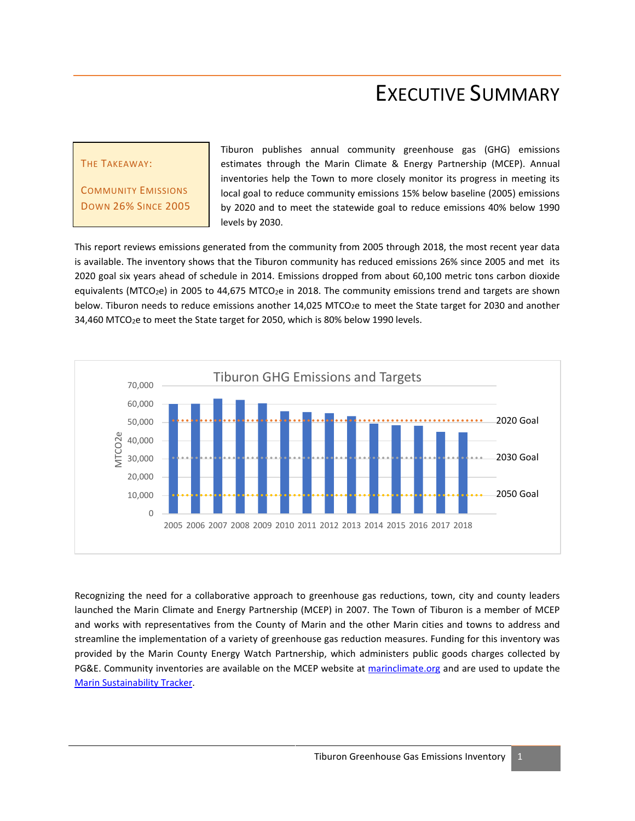# EXECUTIVE SUMMARY

#### THE TAKEAWAY:

COMMUNITY EMISSIONS DOWN 26% SINCE 2005 Tiburon publishes annual community greenhouse gas (GHG) emissions estimates through the Marin Climate & Energy Partnership (MCEP). Annual inventories help the Town to more closely monitor its progress in meeting its local goal to reduce community emissions 15% below baseline (2005) emissions by 2020 and to meet the statewide goal to reduce emissions 40% below 1990 levels by 2030.

This report reviews emissions generated from the community from 2005 through 2018, the most recent year data is available. The inventory shows that the Tiburon community has reduced emissions 26% since 2005 and met its 2020 goal six years ahead of schedule in 2014. Emissions dropped from about 60,100 metric tons carbon dioxide equivalents (MTCO<sub>2</sub>e) in 2005 to 44,675 MTCO<sub>2</sub>e in 2018. The community emissions trend and targets are shown below. Tiburon needs to reduce emissions another 14,025 MTCO<sub>2</sub>e to meet the State target for 2030 and another 34,460 MTCO<sub>2</sub>e to meet the State target for 2050, which is 80% below 1990 levels.



Recognizing the need for a collaborative approach to greenhouse gas reductions, town, city and county leaders launched the Marin Climate and Energy Partnership (MCEP) in 2007. The Town of Tiburon is a member of MCEP and works with representatives from the County of Marin and the other Marin cities and towns to address and streamline the implementation of a variety of greenhouse gas reduction measures. Funding for this inventory was provided by the Marin County Energy Watch Partnership, which administers public goods charges collected by PG&E. Community inventories are available on the MCEP website at [marinclimate.org](http://www.marinclimate.org/) and are used to update the [Marin Sustainability Tracker.](http://www.marintracker.org/)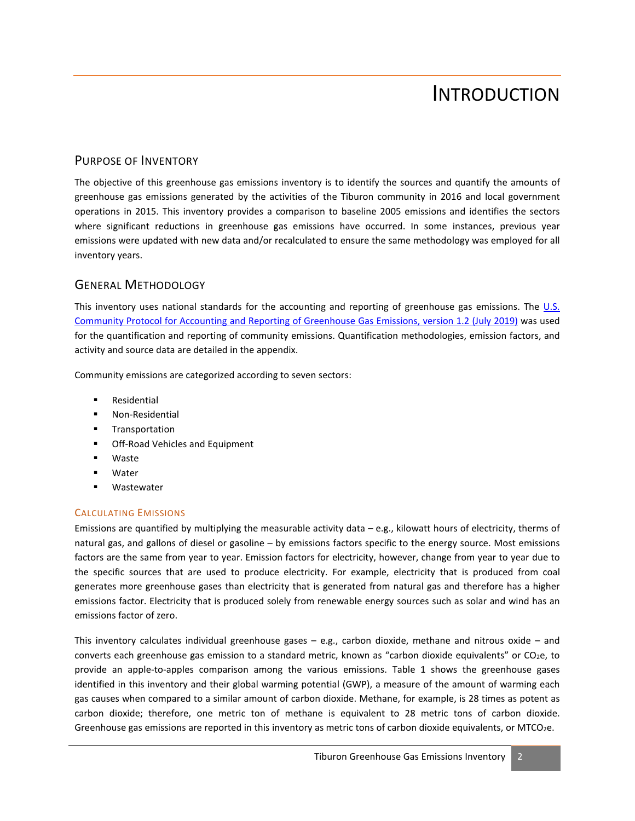# INTRODUCTION

### PURPOSE OF INVENTORY

The objective of this greenhouse gas emissions inventory is to identify the sources and quantify the amounts of greenhouse gas emissions generated by the activities of the Tiburon community in 2016 and local government operations in 2015. This inventory provides a comparison to baseline 2005 emissions and identifies the sectors where significant reductions in greenhouse gas emissions have occurred. In some instances, previous year emissions were updated with new data and/or recalculated to ensure the same methodology was employed for all inventory years.

### GENERAL METHODOLOGY

This inventory uses national standards for the accounting and reporting of greenhouse gas emissions. The U.S. [Community Protocol for Accounting and Reporting of Greenhouse Gas Emissions, version 1.2](http://icleiusa.org/publications/us-community-protocol/) (July 2019) was used for the quantification and reporting of community emissions. Quantification methodologies, emission factors, and activity and source data are detailed in the appendix.

Community emissions are categorized according to seven sectors:

- Residential
- **Non-Residential**
- **Transportation**
- Off-Road Vehicles and Equipment
- Waste
- Water
- Wastewater

#### CALCULATING EMISSIONS

Emissions are quantified by multiplying the measurable activity data – e.g., kilowatt hours of electricity, therms of natural gas, and gallons of diesel or gasoline – by emissions factors specific to the energy source. Most emissions factors are the same from year to year. Emission factors for electricity, however, change from year to year due to the specific sources that are used to produce electricity. For example, electricity that is produced from coal generates more greenhouse gases than electricity that is generated from natural gas and therefore has a higher emissions factor. Electricity that is produced solely from renewable energy sources such as solar and wind has an emissions factor of zero.

This inventory calculates individual greenhouse gases  $-$  e.g., carbon dioxide, methane and nitrous oxide  $-$  and converts each greenhouse gas emission to a standard metric, known as "carbon dioxide equivalents" or CO<sub>2</sub>e, to provide an apple-to-apples comparison among the various emissions. Table 1 shows the greenhouse gases identified in this inventory and their global warming potential (GWP), a measure of the amount of warming each gas causes when compared to a similar amount of carbon dioxide. Methane, for example, is 28 times as potent as carbon dioxide; therefore, one metric ton of methane is equivalent to 28 metric tons of carbon dioxide. Greenhouse gas emissions are reported in this inventory as metric tons of carbon dioxide equivalents, or MTCO2e.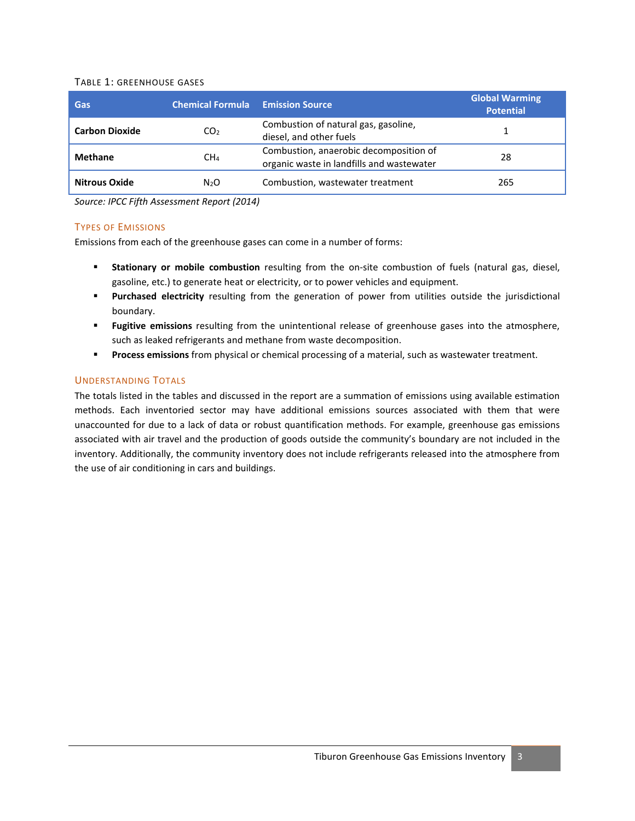#### TABLE 1: GREENHOUSE GASES

| Gas                   | <b>Chemical Formula Emission Source</b> |                                                                                     | <b>Global Warming</b><br><b>Potential</b> |
|-----------------------|-----------------------------------------|-------------------------------------------------------------------------------------|-------------------------------------------|
| <b>Carbon Dioxide</b> | CO <sub>2</sub>                         | Combustion of natural gas, gasoline,<br>diesel, and other fuels                     | 1                                         |
| <b>Methane</b>        | CH <sub>4</sub>                         | Combustion, anaerobic decomposition of<br>organic waste in landfills and wastewater | 28                                        |
| <b>Nitrous Oxide</b>  | N <sub>2</sub> O                        | Combustion, wastewater treatment                                                    | 265                                       |

*Source: IPCC Fifth Assessment Report (2014)*

#### TYPES OF EMISSIONS

Emissions from each of the greenhouse gases can come in a number of forms:

- **Stationary or mobile combustion** resulting from the on-site combustion of fuels (natural gas, diesel, gasoline, etc.) to generate heat or electricity, or to power vehicles and equipment.
- **Purchased electricity** resulting from the generation of power from utilities outside the jurisdictional boundary.
- **Fugitive emissions** resulting from the unintentional release of greenhouse gases into the atmosphere, such as leaked refrigerants and methane from waste decomposition.
- **Process emissions** from physical or chemical processing of a material, such as wastewater treatment.

### UNDERSTANDING TOTALS

The totals listed in the tables and discussed in the report are a summation of emissions using available estimation methods. Each inventoried sector may have additional emissions sources associated with them that were unaccounted for due to a lack of data or robust quantification methods. For example, greenhouse gas emissions associated with air travel and the production of goods outside the community's boundary are not included in the inventory. Additionally, the community inventory does not include refrigerants released into the atmosphere from the use of air conditioning in cars and buildings.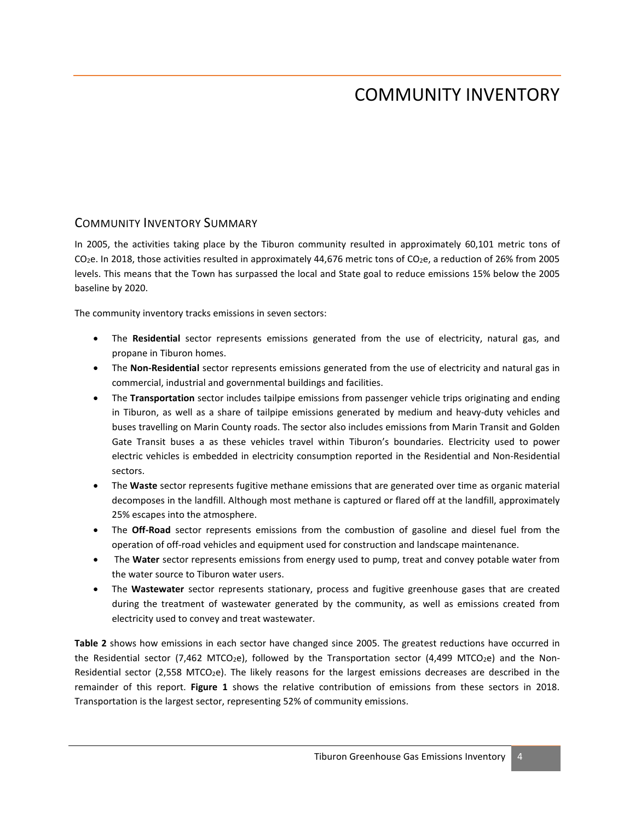# COMMUNITY INVENTORY

## COMMUNITY INVENTORY SUMMARY

In 2005, the activities taking place by the Tiburon community resulted in approximately 60,101 metric tons of CO2e. In 2018, those activities resulted in approximately 44,676 metric tons of CO2e, a reduction of 26% from 2005 levels. This means that the Town has surpassed the local and State goal to reduce emissions 15% below the 2005 baseline by 2020.

The community inventory tracks emissions in seven sectors:

- The **Residential** sector represents emissions generated from the use of electricity, natural gas, and propane in Tiburon homes.
- The **Non-Residential** sector represents emissions generated from the use of electricity and natural gas in commercial, industrial and governmental buildings and facilities.
- The **Transportation** sector includes tailpipe emissions from passenger vehicle trips originating and ending in Tiburon, as well as a share of tailpipe emissions generated by medium and heavy-duty vehicles and buses travelling on Marin County roads. The sector also includes emissions from Marin Transit and Golden Gate Transit buses a as these vehicles travel within Tiburon's boundaries. Electricity used to power electric vehicles is embedded in electricity consumption reported in the Residential and Non-Residential sectors.
- The **Waste** sector represents fugitive methane emissions that are generated over time as organic material decomposes in the landfill. Although most methane is captured or flared off at the landfill, approximately 25% escapes into the atmosphere.
- The **Off-Road** sector represents emissions from the combustion of gasoline and diesel fuel from the operation of off-road vehicles and equipment used for construction and landscape maintenance.
- The **Water** sector represents emissions from energy used to pump, treat and convey potable water from the water source to Tiburon water users.
- The **Wastewater** sector represents stationary, process and fugitive greenhouse gases that are created during the treatment of wastewater generated by the community, as well as emissions created from electricity used to convey and treat wastewater.

**Table 2** shows how emissions in each sector have changed since 2005. The greatest reductions have occurred in the Residential sector (7,462 MTCO<sub>2</sub>e), followed by the Transportation sector (4,499 MTCO<sub>2</sub>e) and the Non-Residential sector (2,558 MTCO<sub>2</sub>e). The likely reasons for the largest emissions decreases are described in the remainder of this report. **Figure 1** shows the relative contribution of emissions from these sectors in 2018. Transportation is the largest sector, representing 52% of community emissions.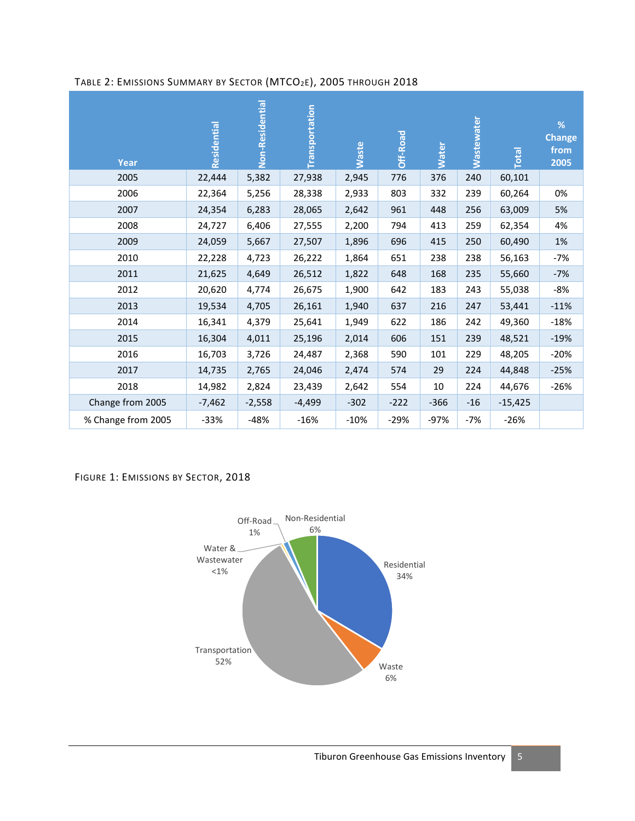| Year | Residential | Non-Residential | <b>Transportation</b> | <b>Waste</b> | Off-Road | <b>Mater</b> | <b>Wastewater</b> | <b>Total</b> | %<br><b>Change</b><br>from<br>2005 |
|------|-------------|-----------------|-----------------------|--------------|----------|--------------|-------------------|--------------|------------------------------------|
| 2005 | 22,444      | 5,382           | 27,938                | 2,945        | 776      | 376          | 240               | 60,101       |                                    |
| 2006 | 22,364      | 5,256           | 28,338                | 2,933        | 803      | 332          | 239               | 60,264       | 0%                                 |
| 2007 | 24,354      | 6,283           | 28,065                | 2,642        | 961      | 448          | 256               | 63,009       | 5%                                 |
| 2008 | 24,727      | 6,406           | 27,555                | 2,200        | 794      | 413          | 259               | 62,354       | 4%                                 |
| 2009 | 24,059      | 5,667           | 27,507                | 1,896        | 696      | 415          | 250               | 60,490       | 1%                                 |
| 2010 | 22,228      | 4,723           | 26,222                | 1,864        | 651      | 238          | 238               | 56,163       | $-7%$                              |
| 2011 | 21,625      | 4,649           | 26,512                | 1,822        | 648      | 168          | 235               | 55,660       | $-7%$                              |
| 2012 | 20,620      | 4,774           | 26,675                | 1,900        | 642      | 183          | 243               | 55,038       | -8%                                |
| 2013 | 19,534      | 4,705           | 26,161                | 1,940        | 637      | 216          | 247               | 53,441       | $-11%$                             |
| 2014 | 16,341      | 4,379           | 25,641                | 1,949        | 622      | 186          | 242               | 49,360       | $-18%$                             |
| 2015 | 16,304      | 4,011           | 25,196                | 2,014        | 606      | 151          | 239               | 48,521       | $-19%$                             |

Change from 2005 -7,462 -2,558 -4,499 -302 -222 -366 -16 -15,425 % Change from 2005 -33% -48% -16% -10% -29% -97% -7% -26%

2016 16,703 3,726 24,487 2,368 590 101 229 48,205 -20% 2017 14,735 2,765 24,046 2,474 574 29 224 44,848 -25% 2018 14,982 2,824 23,439 2,642 554 10 224 44,676 -26%

### TABLE 2: EMISSIONS SUMMARY BY SECTOR (MTCO2E), 2005 THROUGH 2018

FIGURE 1: EMISSIONS BY SECTOR, 2018

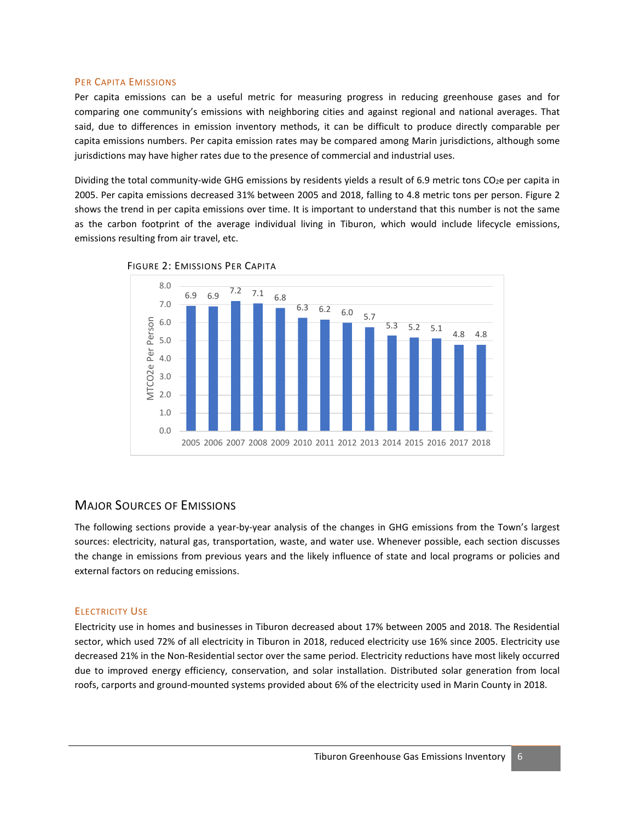#### PER CAPITA EMISSIONS

Per capita emissions can be a useful metric for measuring progress in reducing greenhouse gases and for comparing one community's emissions with neighboring cities and against regional and national averages. That said, due to differences in emission inventory methods, it can be difficult to produce directly comparable per capita emissions numbers. Per capita emission rates may be compared among Marin jurisdictions, although some jurisdictions may have higher rates due to the presence of commercial and industrial uses.

Dividing the total community-wide GHG emissions by residents yields a result of 6.9 metric tons CO<sub>2</sub>e per capita in 2005. Per capita emissions decreased 31% between 2005 and 2018, falling to 4.8 metric tons per person. Figure 2 shows the trend in per capita emissions over time. It is important to understand that this number is not the same as the carbon footprint of the average individual living in Tiburon, which would include lifecycle emissions, emissions resulting from air travel, etc.





### MAJOR SOURCES OF EMISSIONS

The following sections provide a year-by-year analysis of the changes in GHG emissions from the Town's largest sources: electricity, natural gas, transportation, waste, and water use. Whenever possible, each section discusses the change in emissions from previous years and the likely influence of state and local programs or policies and external factors on reducing emissions.

#### ELECTRICITY USE

Electricity use in homes and businesses in Tiburon decreased about 17% between 2005 and 2018. The Residential sector, which used 72% of all electricity in Tiburon in 2018, reduced electricity use 16% since 2005. Electricity use decreased 21% in the Non-Residential sector over the same period. Electricity reductions have most likely occurred due to improved energy efficiency, conservation, and solar installation. Distributed solar generation from local roofs, carports and ground-mounted systems provided about 6% of the electricity used in Marin County in 2018.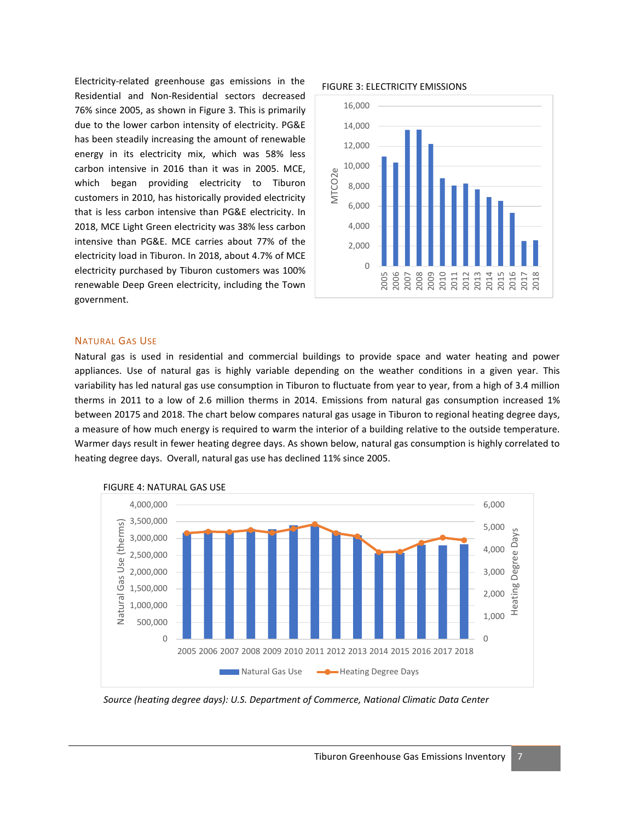FIGURE 3: ELECTRICITY EMISSIONS Electricity-related greenhouse gas emissions in the Residential and Non-Residential sectors decreased 76% since 2005, as shown in Figure 3. This is primarily due to the lower carbon intensity of electricity. PG&E has been steadily increasing the amount of renewable energy in its electricity mix, which was 58% less carbon intensive in 2016 than it was in 2005. MCE, which began providing electricity to Tiburon customers in 2010, has historically provided electricity that is less carbon intensive than PG&E electricity. In 2018, MCE Light Green electricity was 38% less carbon intensive than PG&E. MCE carries about 77% of the electricity load in Tiburon. In 2018, about 4.7% of MCE electricity purchased by Tiburon customers was 100% renewable Deep Green electricity, including the Town government.



#### NATURAL GAS USE

Natural gas is used in residential and commercial buildings to provide space and water heating and power appliances. Use of natural gas is highly variable depending on the weather conditions in a given year. This variability has led natural gas use consumption in Tiburon to fluctuate from year to year, from a high of 3.4 million therms in 2011 to a low of 2.6 million therms in 2014. Emissions from natural gas consumption increased 1% between 20175 and 2018. The chart below compares natural gas usage in Tiburon to regional heating degree days, a measure of how much energy is required to warm the interior of a building relative to the outside temperature. Warmer days result in fewer heating degree days. As shown below, natural gas consumption is highly correlated to heating degree days. Overall, natural gas use has declined 11% since 2005.



FIGURE 4: NATURAL GAS USE

*Source (heating degree days): U.S. Department of Commerce, National Climatic Data Center*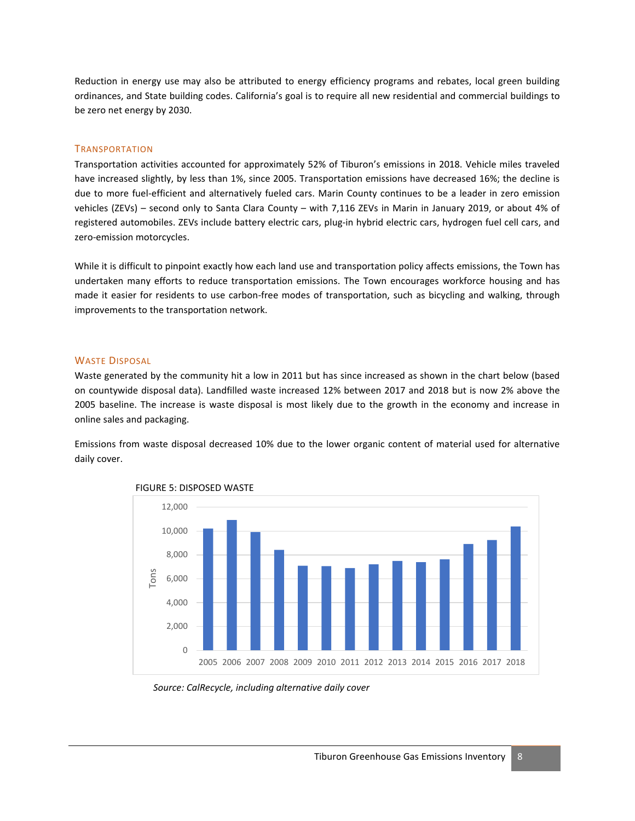Reduction in energy use may also be attributed to energy efficiency programs and rebates, local green building ordinances, and State building codes. California's goal is to require all new residential and commercial buildings to be zero net energy by 2030.

#### **TRANSPORTATION**

Transportation activities accounted for approximately 52% of Tiburon's emissions in 2018. Vehicle miles traveled have increased slightly, by less than 1%, since 2005. Transportation emissions have decreased 16%; the decline is due to more fuel-efficient and alternatively fueled cars. Marin County continues to be a leader in zero emission vehicles (ZEVs) – second only to Santa Clara County – with 7,116 ZEVs in Marin in January 2019, or about 4% of registered automobiles. ZEVs include battery electric cars, plug-in hybrid electric cars, hydrogen fuel cell cars, and zero-emission motorcycles.

While it is difficult to pinpoint exactly how each land use and transportation policy affects emissions, the Town has undertaken many efforts to reduce transportation emissions. The Town encourages workforce housing and has made it easier for residents to use carbon-free modes of transportation, such as bicycling and walking, through improvements to the transportation network.

#### WASTE DISPOSAL

Waste generated by the community hit a low in 2011 but has since increased as shown in the chart below (based on countywide disposal data). Landfilled waste increased 12% between 2017 and 2018 but is now 2% above the 2005 baseline. The increase is waste disposal is most likely due to the growth in the economy and increase in online sales and packaging.

Emissions from waste disposal decreased 10% due to the lower organic content of material used for alternative daily cover.





*Source: CalRecycle, including alternative daily cover*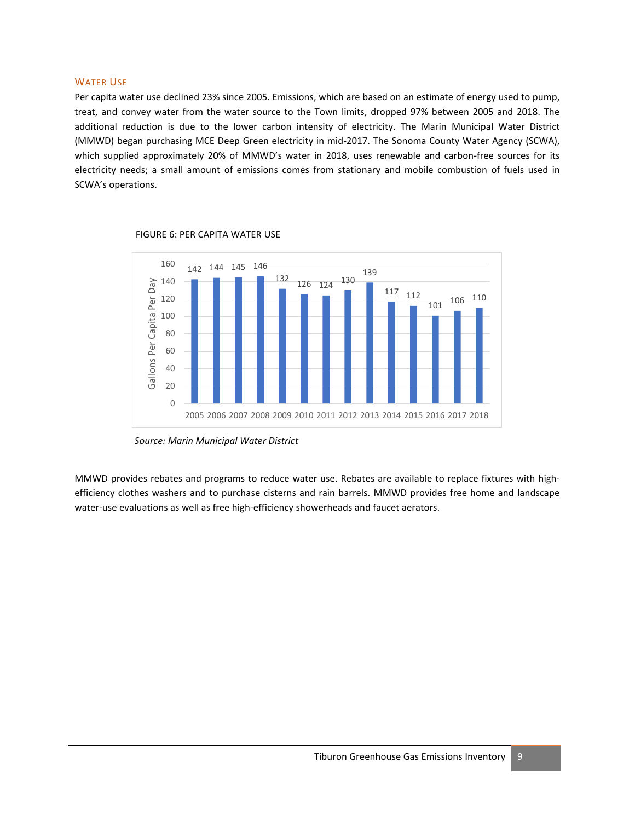#### WATER USE

Per capita water use declined 23% since 2005. Emissions, which are based on an estimate of energy used to pump, treat, and convey water from the water source to the Town limits, dropped 97% between 2005 and 2018. The additional reduction is due to the lower carbon intensity of electricity. The Marin Municipal Water District (MMWD) began purchasing MCE Deep Green electricity in mid-2017. The Sonoma County Water Agency (SCWA), which supplied approximately 20% of MMWD's water in 2018, uses renewable and carbon-free sources for its electricity needs; a small amount of emissions comes from stationary and mobile combustion of fuels used in SCWA's operations.



#### FIGURE 6: PER CAPITA WATER USE

*Source: Marin Municipal Water District*

MMWD provides rebates and programs to reduce water use. Rebates are available to replace fixtures with highefficiency clothes washers and to purchase cisterns and rain barrels. MMWD provides free home and landscape water-use evaluations as well as free high-efficiency showerheads and faucet aerators.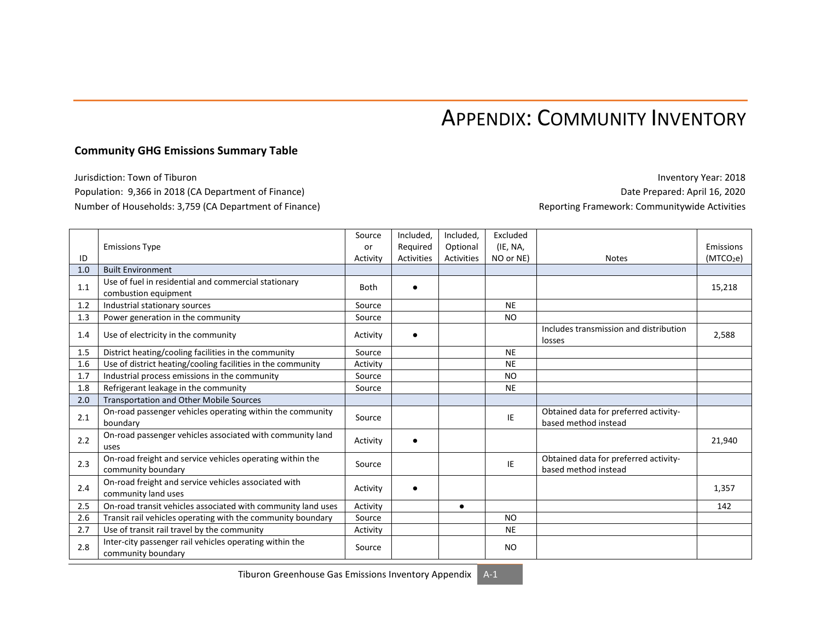# APPENDIX: COMMUNITY INVENTORY

### **Community GHG Emissions Summary Table**

Jurisdiction: Town of Tiburon **Inventory Year: 2018** Population: 9,366 in 2018 (CA Department of Finance) Date Prepared: April 16, 2020 Number of Households: 3,759 (CA Department of Finance) Reporting Framework: Communitywide Activities

|     |                                                                                 | Source      | Included,         | Included,  | Excluded       |                                                               |                       |
|-----|---------------------------------------------------------------------------------|-------------|-------------------|------------|----------------|---------------------------------------------------------------|-----------------------|
|     | <b>Emissions Type</b>                                                           | or          | Required          | Optional   | (IE, NA,       |                                                               | Emissions             |
| ID  |                                                                                 | Activity    | <b>Activities</b> | Activities | NO or NE)      | <b>Notes</b>                                                  | (MTCO <sub>2</sub> e) |
| 1.0 | <b>Built Environment</b>                                                        |             |                   |            |                |                                                               |                       |
| 1.1 | Use of fuel in residential and commercial stationary<br>combustion equipment    | <b>Both</b> |                   |            |                |                                                               | 15,218                |
| 1.2 | Industrial stationary sources                                                   | Source      |                   |            | <b>NE</b>      |                                                               |                       |
| 1.3 | Power generation in the community                                               | Source      |                   |            | N <sub>O</sub> |                                                               |                       |
| 1.4 | Use of electricity in the community                                             |             |                   |            |                | Includes transmission and distribution<br>losses              | 2,588                 |
| 1.5 | District heating/cooling facilities in the community                            | Source      |                   |            | <b>NE</b>      |                                                               |                       |
| 1.6 | Use of district heating/cooling facilities in the community                     | Activity    |                   |            | <b>NE</b>      |                                                               |                       |
| 1.7 | Industrial process emissions in the community                                   | Source      |                   |            | N <sub>O</sub> |                                                               |                       |
| 1.8 | Refrigerant leakage in the community                                            | Source      |                   |            | <b>NE</b>      |                                                               |                       |
| 2.0 | Transportation and Other Mobile Sources                                         |             |                   |            |                |                                                               |                       |
| 2.1 | On-road passenger vehicles operating within the community<br>boundary           | Source      |                   |            | IE             | Obtained data for preferred activity-<br>based method instead |                       |
| 2.2 | On-road passenger vehicles associated with community land<br>uses               | Activity    |                   |            |                |                                                               | 21,940                |
| 2.3 | On-road freight and service vehicles operating within the<br>community boundary | Source      |                   |            | IE             | Obtained data for preferred activity-<br>based method instead |                       |
| 2.4 | On-road freight and service vehicles associated with<br>community land uses     | Activity    |                   |            |                |                                                               | 1,357                 |
| 2.5 | On-road transit vehicles associated with community land uses                    | Activity    |                   | $\bullet$  |                |                                                               | 142                   |
| 2.6 | Transit rail vehicles operating with the community boundary                     | Source      |                   |            | <b>NO</b>      |                                                               |                       |
| 2.7 | Use of transit rail travel by the community                                     | Activity    |                   |            | <b>NE</b>      |                                                               |                       |
| 2.8 | Inter-city passenger rail vehicles operating within the<br>community boundary   | Source      |                   |            | NO.            |                                                               |                       |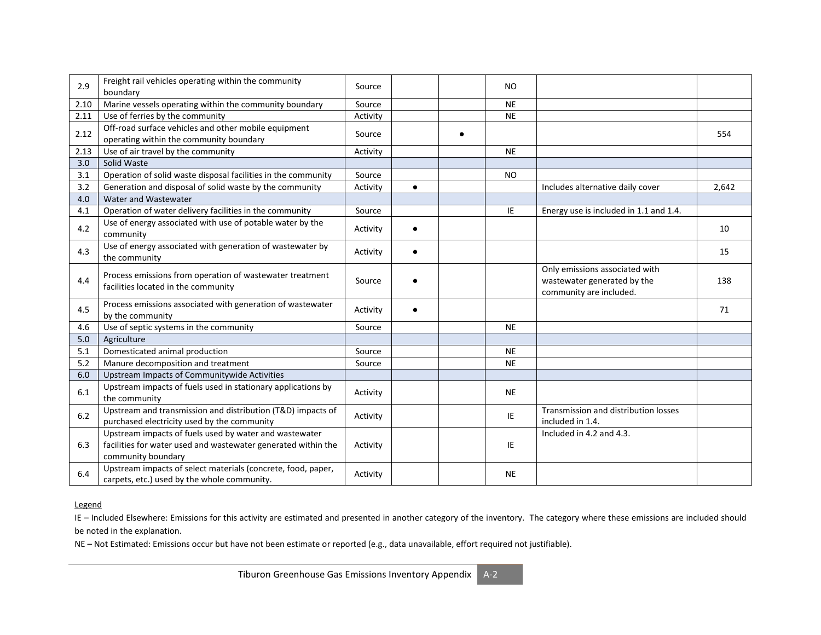| 2.9  | Freight rail vehicles operating within the community<br>boundary                                                                              | Source   |           |           | N <sub>O</sub> |                                                                                          |       |
|------|-----------------------------------------------------------------------------------------------------------------------------------------------|----------|-----------|-----------|----------------|------------------------------------------------------------------------------------------|-------|
| 2.10 | Marine vessels operating within the community boundary                                                                                        |          |           |           | <b>NE</b>      |                                                                                          |       |
| 2.11 | Use of ferries by the community                                                                                                               | Activity |           |           | <b>NE</b>      |                                                                                          |       |
| 2.12 | Off-road surface vehicles and other mobile equipment<br>operating within the community boundary                                               | Source   |           | $\bullet$ |                |                                                                                          | 554   |
| 2.13 | Use of air travel by the community                                                                                                            | Activity |           |           | <b>NE</b>      |                                                                                          |       |
| 3.0  | Solid Waste                                                                                                                                   |          |           |           |                |                                                                                          |       |
| 3.1  | Operation of solid waste disposal facilities in the community                                                                                 | Source   |           |           | <b>NO</b>      |                                                                                          |       |
| 3.2  | Generation and disposal of solid waste by the community                                                                                       | Activity | $\bullet$ |           |                | Includes alternative daily cover                                                         | 2.642 |
| 4.0  | Water and Wastewater                                                                                                                          |          |           |           |                |                                                                                          |       |
| 4.1  | Operation of water delivery facilities in the community                                                                                       | Source   |           |           | IE             | Energy use is included in 1.1 and 1.4.                                                   |       |
| 4.2  | Use of energy associated with use of potable water by the<br>community                                                                        | Activity | $\bullet$ |           |                |                                                                                          | 10    |
| 4.3  | Use of energy associated with generation of wastewater by<br>the community                                                                    | Activity |           |           |                |                                                                                          | 15    |
| 4.4  | Process emissions from operation of wastewater treatment<br>facilities located in the community                                               | Source   |           |           |                | Only emissions associated with<br>wastewater generated by the<br>community are included. | 138   |
| 4.5  | Process emissions associated with generation of wastewater<br>by the community                                                                | Activity | $\bullet$ |           |                |                                                                                          | 71    |
| 4.6  | Use of septic systems in the community                                                                                                        | Source   |           |           | <b>NE</b>      |                                                                                          |       |
| 5.0  | Agriculture                                                                                                                                   |          |           |           |                |                                                                                          |       |
| 5.1  | Domesticated animal production                                                                                                                | Source   |           |           | <b>NE</b>      |                                                                                          |       |
| 5.2  | Manure decomposition and treatment                                                                                                            | Source   |           |           | <b>NE</b>      |                                                                                          |       |
| 6.0  | Upstream Impacts of Communitywide Activities                                                                                                  |          |           |           |                |                                                                                          |       |
| 6.1  | Upstream impacts of fuels used in stationary applications by<br>the community                                                                 | Activity |           |           | <b>NE</b>      |                                                                                          |       |
| 6.2  | Upstream and transmission and distribution (T&D) impacts of<br>purchased electricity used by the community                                    | Activity |           |           | IE             | Transmission and distribution losses<br>included in 1.4.                                 |       |
| 6.3  | Upstream impacts of fuels used by water and wastewater<br>facilities for water used and wastewater generated within the<br>community boundary | Activity |           |           | IE             | Included in 4.2 and 4.3.                                                                 |       |
| 6.4  | Upstream impacts of select materials (concrete, food, paper,<br>carpets, etc.) used by the whole community.                                   | Activity |           |           | <b>NE</b>      |                                                                                          |       |

### Legend

IE - Included Elsewhere: Emissions for this activity are estimated and presented in another category of the inventory. The category where these emissions are included should be noted in the explanation.

NE – Not Estimated: Emissions occur but have not been estimate or reported (e.g., data unavailable, effort required not justifiable).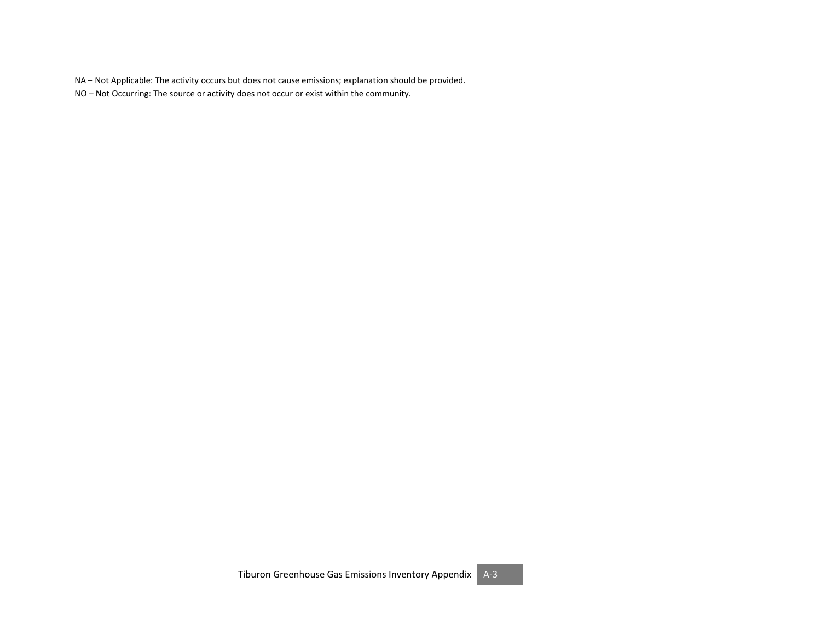NA – Not Applicable: The activity occurs but does not cause emissions; explanation should be provided.

NO – Not Occurring: The source or activity does not occur or exist within the community.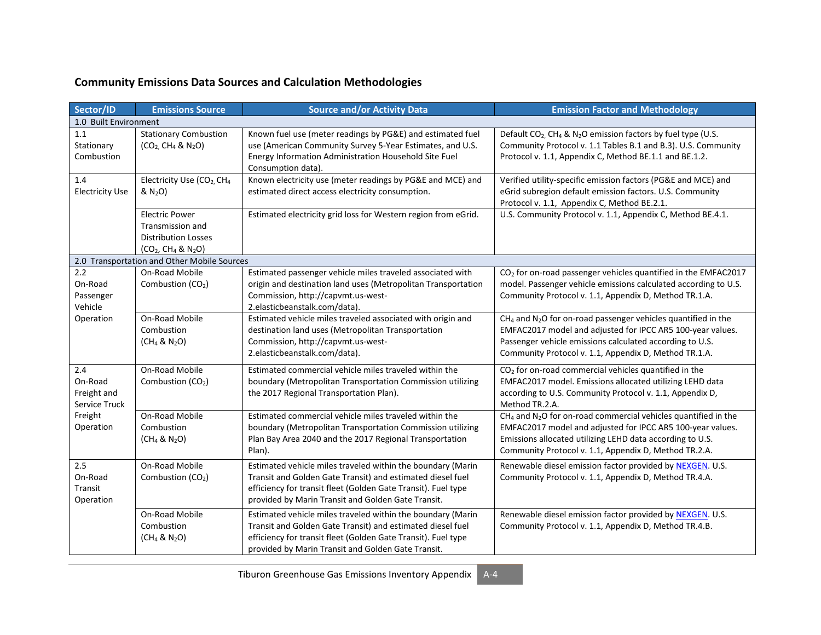# **Community Emissions Data Sources and Calculation Methodologies**

| Sector/ID                                      | <b>Emissions Source</b>                                                                                  | <b>Source and/or Activity Data</b>                                                                                                                                                                                                               | <b>Emission Factor and Methodology</b>                                                                                                                                                                                                                         |
|------------------------------------------------|----------------------------------------------------------------------------------------------------------|--------------------------------------------------------------------------------------------------------------------------------------------------------------------------------------------------------------------------------------------------|----------------------------------------------------------------------------------------------------------------------------------------------------------------------------------------------------------------------------------------------------------------|
| 1.0 Built Environment                          |                                                                                                          |                                                                                                                                                                                                                                                  |                                                                                                                                                                                                                                                                |
| 1.1<br>Stationary<br>Combustion                | <b>Stationary Combustion</b><br>$(CO2, CH4 & N2O)$                                                       | Known fuel use (meter readings by PG&E) and estimated fuel<br>use (American Community Survey 5-Year Estimates, and U.S.<br>Energy Information Administration Household Site Fuel<br>Consumption data).                                           | Default CO <sub>2</sub> CH <sub>4</sub> & N <sub>2</sub> O emission factors by fuel type (U.S.<br>Community Protocol v. 1.1 Tables B.1 and B.3). U.S. Community<br>Protocol v. 1.1, Appendix C, Method BE.1.1 and BE.1.2.                                      |
| 1.4<br><b>Electricity Use</b>                  | Electricity Use (CO <sub>2</sub> , CH <sub>4</sub><br>& N <sub>2</sub> O)                                | Known electricity use (meter readings by PG&E and MCE) and<br>estimated direct access electricity consumption.                                                                                                                                   | Verified utility-specific emission factors (PG&E and MCE) and<br>eGrid subregion default emission factors. U.S. Community<br>Protocol v. 1.1, Appendix C, Method BE.2.1.                                                                                       |
|                                                | <b>Electric Power</b><br><b>Transmission and</b><br><b>Distribution Losses</b><br>$(CO_2, CH_4 \& N_2O)$ | Estimated electricity grid loss for Western region from eGrid.                                                                                                                                                                                   | U.S. Community Protocol v. 1.1, Appendix C, Method BE.4.1.                                                                                                                                                                                                     |
|                                                | 2.0 Transportation and Other Mobile Sources                                                              |                                                                                                                                                                                                                                                  |                                                                                                                                                                                                                                                                |
| 2.2<br>On-Road<br>Passenger<br>Vehicle         | On-Road Mobile<br>Combustion (CO <sub>2</sub> )                                                          | Estimated passenger vehicle miles traveled associated with<br>origin and destination land uses (Metropolitan Transportation<br>Commission, http://capvmt.us-west-<br>2.elasticbeanstalk.com/data).                                               | CO <sub>2</sub> for on-road passenger vehicles quantified in the EMFAC2017<br>model. Passenger vehicle emissions calculated according to U.S.<br>Community Protocol v. 1.1, Appendix D, Method TR.1.A.                                                         |
| Operation                                      | On-Road Mobile<br>Combustion<br>$(CH_4 & N_2O)$                                                          | Estimated vehicle miles traveled associated with origin and<br>destination land uses (Metropolitan Transportation<br>Commission, http://capvmt.us-west-<br>2.elasticbeanstalk.com/data).                                                         | $CH4$ and N <sub>2</sub> O for on-road passenger vehicles quantified in the<br>EMFAC2017 model and adjusted for IPCC AR5 100-year values.<br>Passenger vehicle emissions calculated according to U.S.<br>Community Protocol v. 1.1, Appendix D, Method TR.1.A. |
| 2.4<br>On-Road<br>Freight and<br>Service Truck | On-Road Mobile<br>Combustion (CO <sub>2</sub> )                                                          | Estimated commercial vehicle miles traveled within the<br>boundary (Metropolitan Transportation Commission utilizing<br>the 2017 Regional Transportation Plan).                                                                                  | CO <sub>2</sub> for on-road commercial vehicles quantified in the<br>EMFAC2017 model. Emissions allocated utilizing LEHD data<br>according to U.S. Community Protocol v. 1.1, Appendix D,<br>Method TR.2.A.                                                    |
| Freight<br>Operation                           | On-Road Mobile<br>Combustion<br>$(CH_4 & N_2O)$                                                          | Estimated commercial vehicle miles traveled within the<br>boundary (Metropolitan Transportation Commission utilizing<br>Plan Bay Area 2040 and the 2017 Regional Transportation<br>Plan).                                                        | $CH_4$ and $N_2O$ for on-road commercial vehicles quantified in the<br>EMFAC2017 model and adjusted for IPCC AR5 100-year values.<br>Emissions allocated utilizing LEHD data according to U.S.<br>Community Protocol v. 1.1, Appendix D, Method TR.2.A.        |
| 2.5<br>On-Road<br>Transit<br>Operation         | On-Road Mobile<br>Combustion (CO <sub>2</sub> )                                                          | Estimated vehicle miles traveled within the boundary (Marin<br>Transit and Golden Gate Transit) and estimated diesel fuel<br>efficiency for transit fleet (Golden Gate Transit). Fuel type<br>provided by Marin Transit and Golden Gate Transit. | Renewable diesel emission factor provided by NEXGEN. U.S.<br>Community Protocol v. 1.1, Appendix D, Method TR.4.A.                                                                                                                                             |
|                                                | On-Road Mobile<br>Combustion<br>$(CH_4 & N_2O)$                                                          | Estimated vehicle miles traveled within the boundary (Marin<br>Transit and Golden Gate Transit) and estimated diesel fuel<br>efficiency for transit fleet (Golden Gate Transit). Fuel type<br>provided by Marin Transit and Golden Gate Transit. | Renewable diesel emission factor provided by NEXGEN. U.S.<br>Community Protocol v. 1.1, Appendix D, Method TR.4.B.                                                                                                                                             |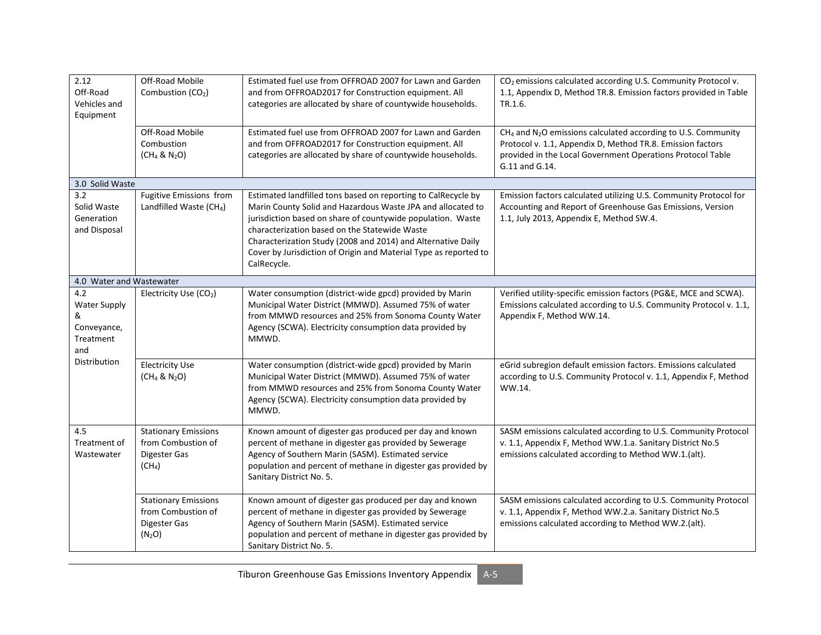| 2.12<br>Off-Road<br>Vehicles and<br>Equipment                      | Off-Road Mobile<br>Combustion (CO <sub>2</sub> )                                        | Estimated fuel use from OFFROAD 2007 for Lawn and Garden<br>and from OFFROAD2017 for Construction equipment. All<br>categories are allocated by share of countywide households.                                                                                                                                                                                                                 | CO <sub>2</sub> emissions calculated according U.S. Community Protocol v.<br>1.1, Appendix D, Method TR.8. Emission factors provided in Table<br>TR.1.6.                                                                  |
|--------------------------------------------------------------------|-----------------------------------------------------------------------------------------|-------------------------------------------------------------------------------------------------------------------------------------------------------------------------------------------------------------------------------------------------------------------------------------------------------------------------------------------------------------------------------------------------|---------------------------------------------------------------------------------------------------------------------------------------------------------------------------------------------------------------------------|
|                                                                    | Off-Road Mobile<br>Combustion<br>(CH <sub>4</sub> & N <sub>2</sub> O)                   | Estimated fuel use from OFFROAD 2007 for Lawn and Garden<br>and from OFFROAD2017 for Construction equipment. All<br>categories are allocated by share of countywide households.                                                                                                                                                                                                                 | $CH4$ and N <sub>2</sub> O emissions calculated according to U.S. Community<br>Protocol v. 1.1, Appendix D, Method TR.8. Emission factors<br>provided in the Local Government Operations Protocol Table<br>G.11 and G.14. |
| 3.0 Solid Waste                                                    |                                                                                         |                                                                                                                                                                                                                                                                                                                                                                                                 |                                                                                                                                                                                                                           |
| 3.2<br>Solid Waste<br>Generation<br>and Disposal                   | Fugitive Emissions from<br>Landfilled Waste (CH <sub>4</sub> )                          | Estimated landfilled tons based on reporting to CalRecycle by<br>Marin County Solid and Hazardous Waste JPA and allocated to<br>jurisdiction based on share of countywide population. Waste<br>characterization based on the Statewide Waste<br>Characterization Study (2008 and 2014) and Alternative Daily<br>Cover by Jurisdiction of Origin and Material Type as reported to<br>CalRecycle. | Emission factors calculated utilizing U.S. Community Protocol for<br>Accounting and Report of Greenhouse Gas Emissions, Version<br>1.1, July 2013, Appendix E, Method SW.4.                                               |
| 4.0 Water and Wastewater                                           |                                                                                         |                                                                                                                                                                                                                                                                                                                                                                                                 |                                                                                                                                                                                                                           |
| 4.2<br><b>Water Supply</b><br>&<br>Conveyance,<br>Treatment<br>and | Electricity Use (CO2)                                                                   | Water consumption (district-wide gpcd) provided by Marin<br>Municipal Water District (MMWD). Assumed 75% of water<br>from MMWD resources and 25% from Sonoma County Water<br>Agency (SCWA). Electricity consumption data provided by<br>MMWD.                                                                                                                                                   | Verified utility-specific emission factors (PG&E, MCE and SCWA).<br>Emissions calculated according to U.S. Community Protocol v. 1.1,<br>Appendix F, Method WW.14.                                                        |
| Distribution                                                       | <b>Electricity Use</b><br>$(CH_4 & N_2O)$                                               | Water consumption (district-wide gpcd) provided by Marin<br>Municipal Water District (MMWD). Assumed 75% of water<br>from MMWD resources and 25% from Sonoma County Water<br>Agency (SCWA). Electricity consumption data provided by<br>MMWD.                                                                                                                                                   | eGrid subregion default emission factors. Emissions calculated<br>according to U.S. Community Protocol v. 1.1, Appendix F, Method<br>WW.14.                                                                               |
| 4.5<br>Treatment of<br>Wastewater                                  | <b>Stationary Emissions</b><br>from Combustion of<br>Digester Gas<br>(CH <sub>4</sub> ) | Known amount of digester gas produced per day and known<br>percent of methane in digester gas provided by Sewerage<br>Agency of Southern Marin (SASM). Estimated service<br>population and percent of methane in digester gas provided by<br>Sanitary District No. 5.                                                                                                                           | SASM emissions calculated according to U.S. Community Protocol<br>v. 1.1, Appendix F, Method WW.1.a. Sanitary District No.5<br>emissions calculated according to Method WW.1.(alt).                                       |
|                                                                    | <b>Stationary Emissions</b><br>from Combustion of<br>Digester Gas<br>$(N_2O)$           | Known amount of digester gas produced per day and known<br>percent of methane in digester gas provided by Sewerage<br>Agency of Southern Marin (SASM). Estimated service<br>population and percent of methane in digester gas provided by<br>Sanitary District No. 5.                                                                                                                           | SASM emissions calculated according to U.S. Community Protocol<br>v. 1.1, Appendix F, Method WW.2.a. Sanitary District No.5<br>emissions calculated according to Method WW.2.(alt).                                       |